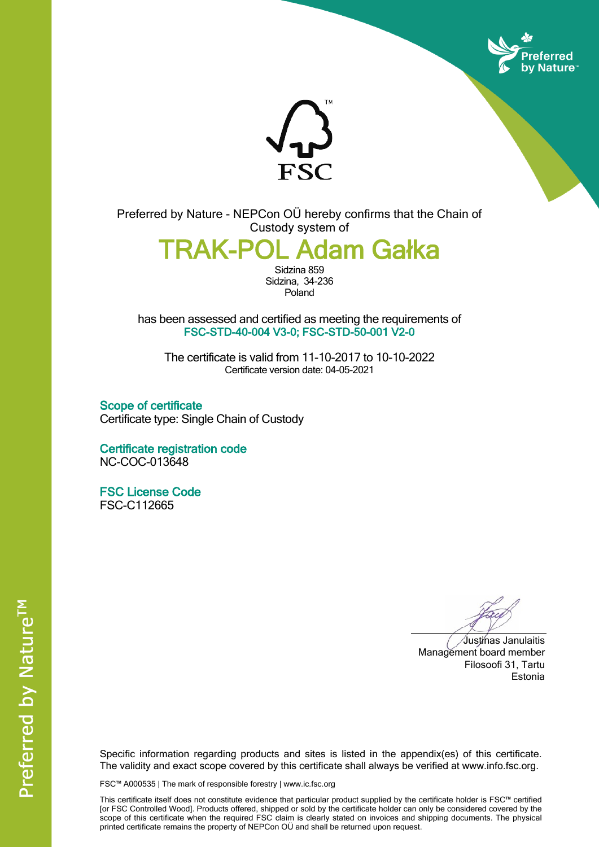



Preferred by Nature - NEPCon OÜ hereby confirms that the Chain of Custody system of

**TRAK-POL Adam Gałka**

Sidzina 859 Sidzina, 34-236 Poland

has been assessed and certified as meeting the requirements of **FSC-STD-40-004 V3-0; FSC-STD-50-001 V2-0**

The certificate is valid from 11-10-2017 to 10-10-2022 Certificate version date: 04-05-2021

**Scope of certificate** Certificate type: Single Chain of Custody

**Certificate registration code** NC-COC-013648

**FSC License Code** FSC-C112665

Justinas Janulaitis Management board member Filosoofi 31, Tartu Estonia

Specific information regarding products and sites is listed in the appendix(es) of this certificate. The validity and exact scope covered by this certificate shall always be verified at www.info.fsc.org.

FSC™ A000535 | The mark of responsible forestry | www.ic.fsc.org

This certificate itself does not constitute evidence that particular product supplied by the certificate holder is FSC™ certified [or FSC Controlled Wood]. Products offered, shipped or sold by the certificate holder can only be considered covered by the scope of this certificate when the required FSC claim is clearly stated on invoices and shipping documents. The physical printed certificate remains the property of NEPCon OÜ and shall be returned upon request.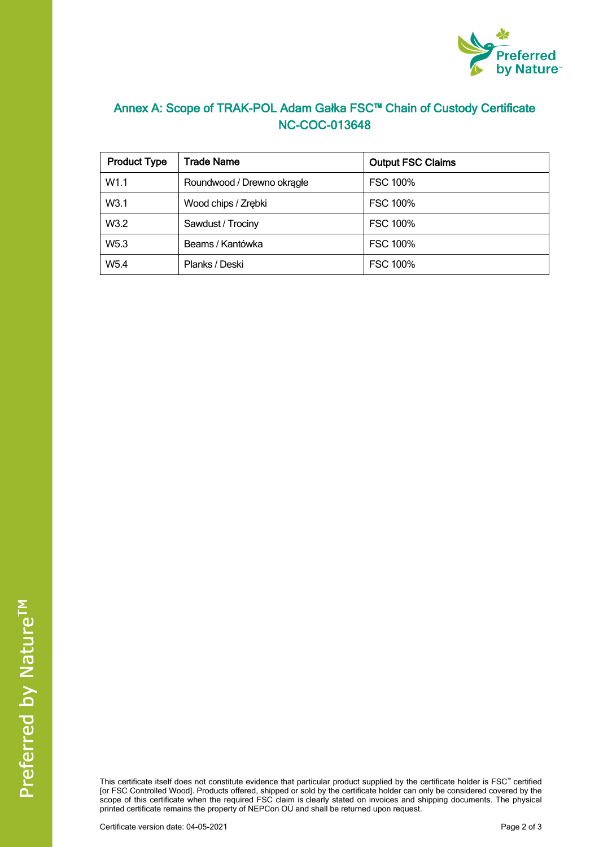

## **Annex A: Scope of TRAK-POL Adam Gałka FSC™ Chain of Custody Certificate NC-COC-013648**

| <b>Product Type</b> | <b>Trade Name</b>          | <b>Output FSC Claims</b> |
|---------------------|----------------------------|--------------------------|
| W1.1                | Roundwood / Drewno okragłe | <b>FSC 100%</b>          |
| W3.1                | Wood chips / Zrębki        | <b>FSC 100%</b>          |
| W3.2                | Sawdust / Trociny          | <b>FSC 100%</b>          |
| W <sub>5.3</sub>    | Beams / Kantówka           | <b>FSC 100%</b>          |
| W <sub>5.4</sub>    | Planks / Deski             | <b>FSC 100%</b>          |

This certificate itself does not constitute evidence that particular product supplied by the certificate holder is FSC™ certified [or FSC Controlled Wood]. Products offered, shipped or sold by the certificate holder can only be considered covered by the scope of this certificate when the required FSC claim is clearly stated on invoices and shipping documents. The physical printed certificate remains the property of NEPCon OÜ and shall be returned upon request.